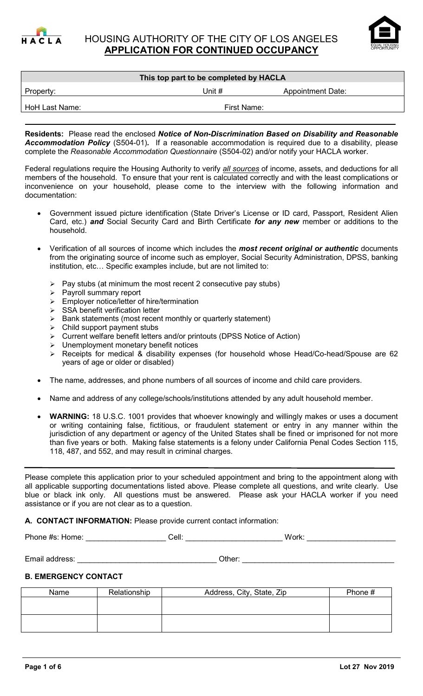



# **This top part to be completed by HACLA** Property: Property: Property: Example 2012 11: The Unit # Appointment Date:

HoH Last Name: The Contract of the Contract of Trust Name: First Name:

**Residents:** Please read the enclosed *Notice of Non-Discrimination Based on Disability and Reasonable Accommodation Policy* (S504-01)*.* If a reasonable accommodation is required due to a disability, please complete the *Reasonable Accommodation Questionnaire* (S504-02) and/or notify your HACLA worker.

Federal regulations require the Housing Authority to verify *all sources* of income, assets, and deductions for all members of the household. To ensure that your rent is calculated correctly and with the least complications or inconvenience on your household, please come to the interview with the following information and documentation:

- Government issued picture identification (State Driver's License or ID card, Passport, Resident Alien Card, etc.) *and* Social Security Card and Birth Certificate *for any new* member or additions to the household.
- Verification of all sources of income which includes the *most recent original or authentic* documents from the originating source of income such as employer, Social Security Administration, DPSS, banking institution, etc… Specific examples include, but are not limited to:
	- $\triangleright$  Pay stubs (at minimum the most recent 2 consecutive pay stubs)
	- $\triangleright$  Payroll summary report
	- > Employer notice/letter of hire/termination
	- $\triangleright$  SSA benefit verification letter
	- $\triangleright$  Bank statements (most recent monthly or quarterly statement)
	- $\triangleright$  Child support payment stubs
	- Current welfare benefit letters and/or printouts (DPSS Notice of Action)
	- > Unemployment monetary benefit notices
	- Receipts for medical & disability expenses (for household whose Head/Co-head/Spouse are 62 years of age or older or disabled)
- The name, addresses, and phone numbers of all sources of income and child care providers.
- Name and address of any college/schools/institutions attended by any adult household member.
- **WARNING:** 18 U.S.C. 1001 provides that whoever knowingly and willingly makes or uses a document or writing containing false, fictitious, or fraudulent statement or entry in any manner within the jurisdiction of any department or agency of the United States shall be fined or imprisoned for not more than five years or both. Making false statements is a felony under California Penal Codes Section 115, 118, 487, and 552, and may result in criminal charges.

Please complete this application prior to your scheduled appointment and bring to the appointment along with all applicable supporting documentations listed above. Please complete all questions, and write clearly. Use blue or black ink only. All questions must be answered. Please ask your HACLA worker if you need assistance or if you are not clear as to a question.

**A. CONTACT INFORMATION:** Please provide current contact information:

Phone #s: Home: etc. and a cell: etc. and a cell: etc. work: Work:  $\blacksquare$ 

Email address: etc. and the state of the state of the state of the state of the state of the state of the state of the state of the state of the state of the state of the state of the state of the state of the state of the

# **B. EMERGENCY CONTACT**

| Name | Relationship | Address, City, State, Zip | Phone # |
|------|--------------|---------------------------|---------|
|      |              |                           |         |
|      |              |                           |         |
|      |              |                           |         |
|      |              |                           |         |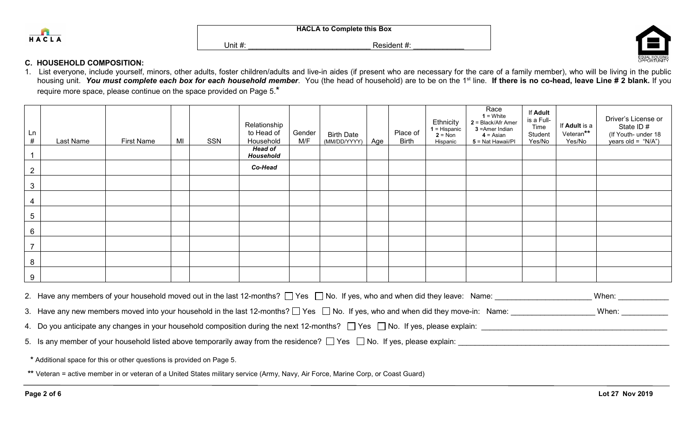



### **C. HOUSEHOLD COMPOSITION:**

1. List everyone, include yourself, minors, other adults, foster children/adults and live-in aides (if present who are necessary for the care of a family member), who will be living in the public housing unit. You must complete each box for each household member. You (the head of household) are to be on the 1<sup>st</sup> line. If there is no co-head, leave Line # 2 blank. If you require more space, please continue on the space provided on Page 5.\*

| Ln<br>#        | Last Name | <b>First Name</b> | MI | SSN | Relationship<br>to Head of<br>Household<br><b>Head of</b><br>Household | Gender<br>M/F | <b>Birth Date</b><br>(MM/DD/YYYY) | Age | Place of<br><b>Birth</b> | Ethnicity<br>$1$ = Hispanic<br>$2 = N \circ n$<br>Hispanic | Race<br>$1 =$ White<br>$2 = Black/Afr$ Amer<br>3 = Amer Indian<br>$4 = Asian$<br>5 = Nat Hawaii/PI | If Adult<br>is a Full-<br>Time<br>Student<br>Yes/No | If Adult is a<br>Veteran**<br>Yes/No | Driver's License or<br>State ID #<br>(If Youth- under 18<br>years old = "N/A") |
|----------------|-----------|-------------------|----|-----|------------------------------------------------------------------------|---------------|-----------------------------------|-----|--------------------------|------------------------------------------------------------|----------------------------------------------------------------------------------------------------|-----------------------------------------------------|--------------------------------------|--------------------------------------------------------------------------------|
| 2              |           |                   |    |     | Co-Head                                                                |               |                                   |     |                          |                                                            |                                                                                                    |                                                     |                                      |                                                                                |
| 3              |           |                   |    |     |                                                                        |               |                                   |     |                          |                                                            |                                                                                                    |                                                     |                                      |                                                                                |
| 4              |           |                   |    |     |                                                                        |               |                                   |     |                          |                                                            |                                                                                                    |                                                     |                                      |                                                                                |
| $\overline{5}$ |           |                   |    |     |                                                                        |               |                                   |     |                          |                                                            |                                                                                                    |                                                     |                                      |                                                                                |
| 6              |           |                   |    |     |                                                                        |               |                                   |     |                          |                                                            |                                                                                                    |                                                     |                                      |                                                                                |
| <u>_</u>       |           |                   |    |     |                                                                        |               |                                   |     |                          |                                                            |                                                                                                    |                                                     |                                      |                                                                                |
| 8              |           |                   |    |     |                                                                        |               |                                   |     |                          |                                                            |                                                                                                    |                                                     |                                      |                                                                                |
| 9              |           |                   |    |     |                                                                        |               |                                   |     |                          |                                                            |                                                                                                    |                                                     |                                      |                                                                                |

2. Have any members of your household moved out in the last 12-months? Yes No. If yes, who and when did they leave: Name: \_\_\_\_\_\_\_\_\_\_\_\_\_\_\_\_\_\_\_\_\_\_\_ When: \_\_\_\_\_\_\_\_\_\_\_\_

3. Have any new members moved into your household in the last 12-months?  $\Box$  Yes  $\Box$  No. If yes, who and when did they move-in: Name:  $\Box$  When: When:

4. Do you anticipate any changes in your household composition during the next 12-months?  $\Box$  Yes  $\Box$  No. If yes, please explain:

5. Is any member of your household listed above temporarily away from the residence?  $\Box$  Yes  $\Box$  No. If yes, please explain:

**\*** Additional space for this or other questions is provided on Page 5.

**\*\*** Veteran = active member in or veteran of a United States military service (Army, Navy, Air Force, Marine Corp, or Coast Guard)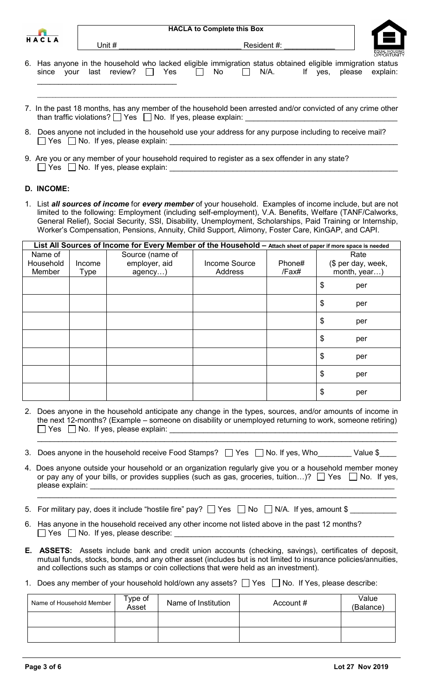| HА | C. | $\mathbf{L}$ | Α |
|----|----|--------------|---|

|  |  | 6. Has anyone in the household who lacked eligible immigration status obtained eligible immigration status |  |  |  |  |  |
|--|--|------------------------------------------------------------------------------------------------------------|--|--|--|--|--|
|  |  | since your last review? $\Box$ Yes $\Box$ No $\Box$ N/A. If yes, please explain:                           |  |  |  |  |  |
|  |  |                                                                                                            |  |  |  |  |  |

7. In the past 18 months, has any member of the household been arrested and/or convicted of any crime other than traffic violations?  $\Box$  Yes  $\Box$  No. If yes, please explain:

 $\mathcal{L}_\mathcal{L} = \mathcal{L}_\mathcal{L} = \mathcal{L}_\mathcal{L} = \mathcal{L}_\mathcal{L} = \mathcal{L}_\mathcal{L} = \mathcal{L}_\mathcal{L} = \mathcal{L}_\mathcal{L} = \mathcal{L}_\mathcal{L} = \mathcal{L}_\mathcal{L} = \mathcal{L}_\mathcal{L} = \mathcal{L}_\mathcal{L} = \mathcal{L}_\mathcal{L} = \mathcal{L}_\mathcal{L} = \mathcal{L}_\mathcal{L} = \mathcal{L}_\mathcal{L} = \mathcal{L}_\mathcal{L} = \mathcal{L}_\mathcal{L}$ 

- 8. Does anyone not included in the household use your address for any purpose including to receive mail?  $\Box$  Yes  $\Box$  No. If yes, please explain:
- 9. Are you or any member of your household required to register as a sex offender in any state?  $\Box$  Yes  $\Box$  No. If yes, please explain:

Unit # \_\_\_\_\_\_\_\_\_\_\_\_\_\_\_\_\_\_\_\_\_\_\_\_\_\_\_\_\_ Resident #: \_\_\_\_\_\_\_\_\_\_\_\_

## **D. INCOME:**

1. List *all sources of income* for *every member* of your household. Examples of income include, but are not limited to the following: Employment (including self-employment), V.A. Benefits, Welfare (TANF/Calworks, General Relief), Social Security, SSI, Disability, Unemployment, Scholarships, Paid Training or Internship, Worker's Compensation, Pensions, Annuity, Child Support, Alimony, Foster Care, KinGAP, and CAPI.

|           |        | List All Sources of Income for Every Member of the Household - Attach sheet of paper if more space is needed |               |        |                    |
|-----------|--------|--------------------------------------------------------------------------------------------------------------|---------------|--------|--------------------|
| Name of   |        | Source (name of                                                                                              |               |        | Rate               |
| Household | Income | employer, aid                                                                                                | Income Source | Phone# | (\$ per day, week, |
| Member    | Type   | agency                                                                                                       | Address       | /Fax#  | month, year)       |
|           |        |                                                                                                              |               |        | \$<br>per          |
|           |        |                                                                                                              |               |        | \$<br>per          |
|           |        |                                                                                                              |               |        | \$<br>per          |
|           |        |                                                                                                              |               |        | \$<br>per          |
|           |        |                                                                                                              |               |        | \$<br>per          |
|           |        |                                                                                                              |               |        | \$<br>per          |
|           |        |                                                                                                              |               |        | \$<br>per          |

2. Does anyone in the household anticipate any change in the types, sources, and/or amounts of income in the next 12-months? (Example – someone on disability or unemployed returning to work, someone retiring)  $\Box$  Yes  $\Box$  No. If yes, please explain:

 $\_$  , and the set of the set of the set of the set of the set of the set of the set of the set of the set of the set of the set of the set of the set of the set of the set of the set of the set of the set of the set of th

- 3. Does anyone in the household receive Food Stamps?  $\Box$  Yes  $\Box$  No. If yes, Who Value \$
- 4. Does anyone outside your household or an organization regularly give you or a household member money or pay any of your bills, or provides supplies (such as gas, groceries, tuition...)?  $\Box$  Yes  $\Box$  No. If yes, please explain:

 $\_$  , and the set of the set of the set of the set of the set of the set of the set of the set of the set of the set of the set of the set of the set of the set of the set of the set of the set of the set of the set of th

- 5. For military pay, does it include "hostile fire" pay?  $\Box$  Yes  $\Box$  No  $\Box$  N/A. If yes, amount \$  $\Box$
- 6. Has anyone in the household received any other income not listed above in the past 12 months?  $\Box$  Yes  $\Box$  No. If yes, please describe:
- **E. ASSETS:** Assets include bank and credit union accounts (checking, savings), certificates of deposit, mutual funds, stocks, bonds, and any other asset (includes but is not limited to insurance policies/annuities, and collections such as stamps or coin collections that were held as an investment).
- 1. Does any member of your household hold/own any assets?  $\Box$  Yes  $\Box$  No. If Yes, please describe:

| Name of Household Member | Type of<br>Asset | Name of Institution | Account # | Value<br>(Balance) |
|--------------------------|------------------|---------------------|-----------|--------------------|
|                          |                  |                     |           |                    |
|                          |                  |                     |           |                    |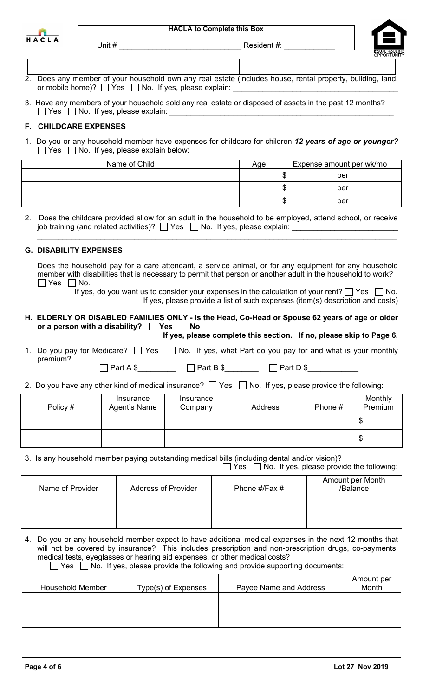| HА | CLA |  |
|----|-----|--|

Unit # \_\_\_\_\_\_\_\_\_\_\_\_\_\_\_\_\_\_\_\_\_\_\_\_\_\_\_\_\_ Resident #: \_\_\_\_\_\_\_\_\_\_\_\_



| 2. Does any member of your household own any real estate (includes house, rental property, building, land, |  |
|------------------------------------------------------------------------------------------------------------|--|
| or mobile home)? $\Box$ Yes $\Box$ No. If yes, please explain:                                             |  |

3. Have any members of your household sold any real estate or disposed of assets in the past 12 months?  $\Box$  Yes  $\Box$  No. If yes, please explain:

# **F. CHILDCARE EXPENSES**

1. Do you or any household member have expenses for childcare for children *12 years of age or younger?*  $\Box$  Yes  $\Box$  No. If yes, please explain below:

| Name of Child | Age | Expense amount per wk/mo |
|---------------|-----|--------------------------|
|               |     | per                      |
|               |     | per<br>w                 |
|               |     | per<br>w                 |

2. Does the childcare provided allow for an adult in the household to be employed, attend school, or receive job training (and related activities)?  $\Box$  Yes  $\Box$  No. If yes, please explain:

 $\_$  , and the set of the set of the set of the set of the set of the set of the set of the set of the set of the set of the set of the set of the set of the set of the set of the set of the set of the set of the set of th

## **G. DISABILITY EXPENSES**

Does the household pay for a care attendant, a service animal, or for any equipment for any household member with disabilities that is necessary to permit that person or another adult in the household to work?  $\Box$  Yes  $\Box$  No.

If yes, do you want us to consider your expenses in the calculation of your rent?  $\Box$  Yes  $\Box$  No. If yes, please provide a list of such expenses (item(s) description and costs)

#### **H. ELDERLY OR DISABLED FAMILIES ONLY - Is the Head, Co-Head or Spouse 62 years of age or older** or a person with a disability? **Fig. 2** Yes **No If yes, please complete this section. If no, please skip to Page 6.**

- 1. Do you pay for Medicare?  $\Box$  Yes  $\Box$  No. If yes, what Part do you pay for and what is your monthly premium?
- 2. Do you have any other kind of medical insurance?  $\Box$  Yes  $\Box$  No. If yes, please provide the following:

 $\Box$  Part A \$  $\Box$  Part B \$  $\Box$  Part D \$

| Policy # | Insurance<br>Agent's Name | Insurance<br>Company | <b>Address</b> | Phone # | Monthly<br>Premium |
|----------|---------------------------|----------------------|----------------|---------|--------------------|
|          |                           |                      |                |         | \$                 |
|          |                           |                      |                |         | \$                 |

3. Is any household member paying outstanding medical bills (including dental and/or vision)?

 $\Box$  Yes  $\Box$  No. If yes, please provide the following:

| Name of Provider | <b>Address of Provider</b> | Phone #/Fax # | Amount per Month<br>/Balance |
|------------------|----------------------------|---------------|------------------------------|
|                  |                            |               |                              |
|                  |                            |               |                              |

4. Do you or any household member expect to have additional medical expenses in the next 12 months that will not be covered by insurance? This includes prescription and non-prescription drugs, co-payments, medical tests, eyeglasses or hearing aid expenses, or other medical costs?  $\mathbb{R}^n$ 

|  |  |  |  |  |  |  |  |  |  |  |  | $\Box$ Yes $\Box$ No. If yes, please provide the following and provide supporting documents: |
|--|--|--|--|--|--|--|--|--|--|--|--|----------------------------------------------------------------------------------------------|
|--|--|--|--|--|--|--|--|--|--|--|--|----------------------------------------------------------------------------------------------|

| Household Member | Type(s) of Expenses | Payee Name and Address | Amount per<br>Month |
|------------------|---------------------|------------------------|---------------------|
|                  |                     |                        |                     |
|                  |                     |                        |                     |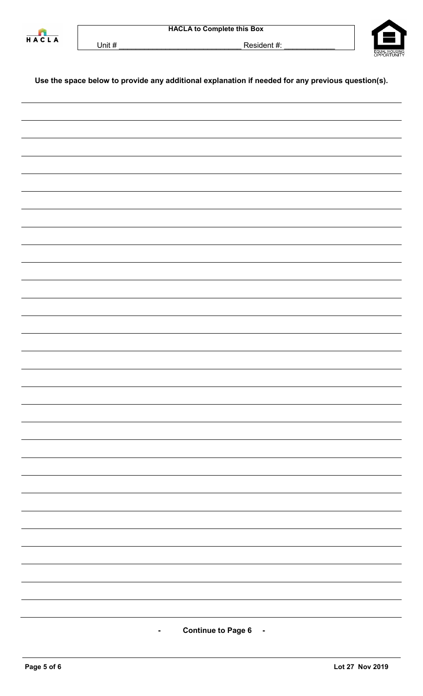



Unit # \_\_\_\_\_\_\_\_\_\_\_\_\_\_\_\_\_\_\_\_\_\_\_\_\_\_\_\_\_ Resident #: \_\_\_\_\_\_\_\_\_\_\_\_

# **Use the space below to provide any additional explanation if needed for any previous question(s).**

**- Continue to Page 6 -**